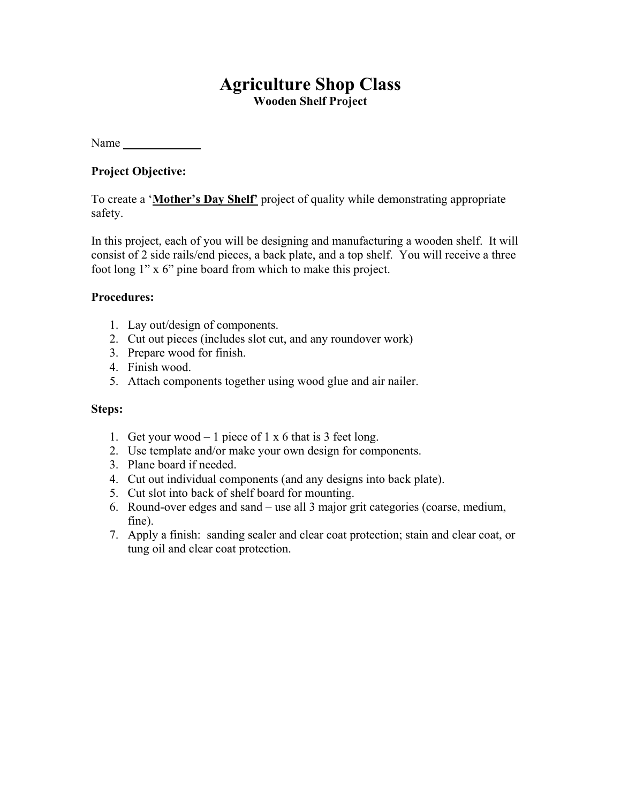## **Agriculture Shop Class Wooden Shelf Project**

Name

### **Project Objective:**

To create a '**Mother's Day Shelf'** project of quality while demonstrating appropriate safety.

In this project, each of you will be designing and manufacturing a wooden shelf. It will consist of 2 side rails/end pieces, a back plate, and a top shelf. You will receive a three foot long 1" x 6" pine board from which to make this project.

#### **Procedures:**

- 1. Lay out/design of components.
- 2. Cut out pieces (includes slot cut, and any roundover work)
- 3. Prepare wood for finish.
- 4. Finish wood.
- 5. Attach components together using wood glue and air nailer.

#### **Steps:**

- 1. Get your wood 1 piece of 1 x 6 that is 3 feet long.
- 2. Use template and/or make your own design for components.
- 3. Plane board if needed.
- 4. Cut out individual components (and any designs into back plate).
- 5. Cut slot into back of shelf board for mounting.
- 6. Round-over edges and sand use all 3 major grit categories (coarse, medium, fine).
- 7. Apply a finish: sanding sealer and clear coat protection; stain and clear coat, or tung oil and clear coat protection.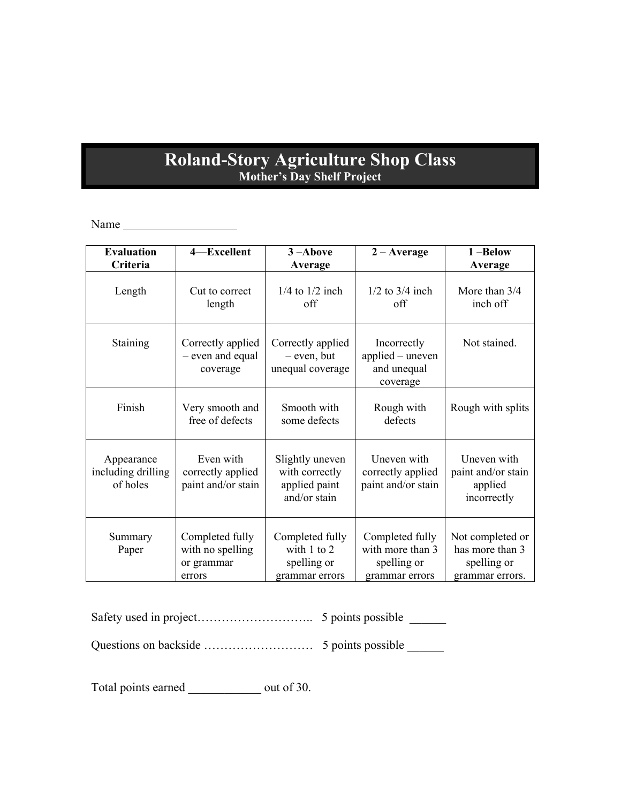# **Roland-Story Agriculture Shop Class Mother's Day Shelf Project**

Name

| <b>Evaluation</b>                            | 4-Excellent                                                 | $3 -$ Above                                                        | $2 - Average$                                                        | 1-Below                                                               |
|----------------------------------------------|-------------------------------------------------------------|--------------------------------------------------------------------|----------------------------------------------------------------------|-----------------------------------------------------------------------|
| Criteria                                     |                                                             | Average                                                            |                                                                      | Average                                                               |
| Length                                       | Cut to correct<br>length                                    | $1/4$ to $1/2$ inch<br>off                                         | $1/2$ to $3/4$ inch<br>off                                           | More than 3/4<br>inch off                                             |
| Staining                                     | Correctly applied<br>- even and equal<br>coverage           | Correctly applied<br>- even, but<br>unequal coverage               | Incorrectly<br>applied - uneven<br>and unequal<br>coverage           | Not stained.                                                          |
| Finish                                       | Very smooth and<br>free of defects                          | Smooth with<br>some defects                                        | Rough with<br>defects                                                | Rough with splits                                                     |
| Appearance<br>including drilling<br>of holes | Even with<br>correctly applied<br>paint and/or stain        | Slightly uneven<br>with correctly<br>applied paint<br>and/or stain | Uneven with<br>correctly applied<br>paint and/or stain               | Uneven with<br>paint and/or stain<br>applied<br>incorrectly           |
| Summary<br>Paper                             | Completed fully<br>with no spelling<br>or grammar<br>errors | Completed fully<br>with 1 to 2<br>spelling or<br>grammar errors    | Completed fully<br>with more than 3<br>spelling or<br>grammar errors | Not completed or<br>has more than 3<br>spelling or<br>grammar errors. |

Safety used in project……………………….. 5 points possible \_\_\_\_\_\_

Questions on backside ……………………… 5 points possible \_\_\_\_\_\_

Total points earned \_\_\_\_\_\_\_\_\_\_\_\_\_\_ out of 30.